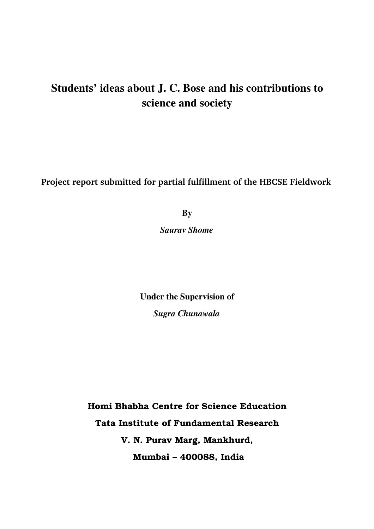# Students' ideas about J. C. Bose and his contributions to science and society

**Project report submitted for partial fulfillment of the HBCSE Fieldwork**

**By** 

*Saurav Shome*

Under the Supervision of *Sugra Chunawala*

**Homi Bhabha Centre for Science Education Tata Institute of Fundamental Research V. N. Purav Marg, Mankhurd, Mumbai – 400088, India**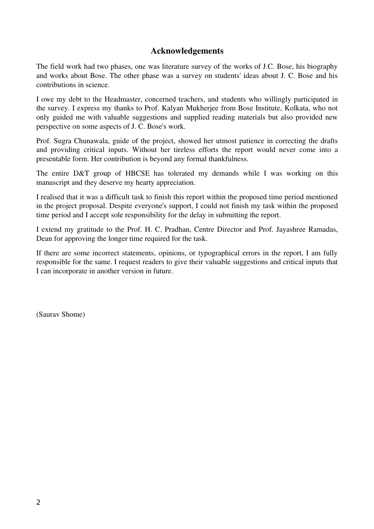## Acknowledgements

The field work had two phases, one was literature survey of the works of J.C. Bose, his biography and works about Bose. The other phase was a survey on students' ideas about J. C. Bose and his contributions in science.

I owe my debt to the Headmaster, concerned teachers, and students who willingly participated in the survey. I express my thanks to Prof. Kalyan Mukherjee from Bose Institute, Kolkata, who not only guided me with valuable suggestions and supplied reading materials but also provided new perspective on some aspects of J. C. Bose's work.

Prof. Sugra Chunawala, guide of the project, showed her utmost patience in correcting the drafts and providing critical inputs. Without her tireless efforts the report would never come into a presentable form. Her contribution is beyond any formal thankfulness.

The entire D&T group of HBCSE has tolerated my demands while I was working on this manuscript and they deserve my hearty appreciation.

I realised that it was a difficult task to finish this report within the proposed time period mentioned in the project proposal. Despite everyone's support, I could not finish my task within the proposed time period and I accept sole responsibility for the delay in submitting the report.

I extend my gratitude to the Prof. H. C. Pradhan, Centre Director and Prof. Jayashree Ramadas, Dean for approving the longer time required for the task.

If there are some incorrect statements, opinions, or typographical errors in the report, I am fully responsible for the same. I request readers to give their valuable suggestions and critical inputs that I can incorporate in another version in future.

(Saurav Shome)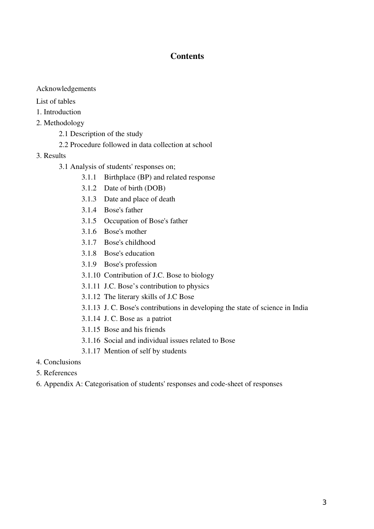## **Contents**

#### Acknowledgements

#### List of tables

- 1. Introduction
- 2. Methodology
	- 2.1 Description of the study
	- 2.2 Procedure followed in data collection at school
- 3. Results
	- 3.1 Analysis of students' responses on;
		- 3.1.1 Birthplace (BP) and related response
		- 3.1.2 Date of birth (DOB)
		- 3.1.3 Date and place of death
		- 3.1.4 Bose's father
		- 3.1.5 Occupation of Bose's father
		- 3.1.6 Bose's mother
		- 3.1.7 Bose's childhood
		- 3.1.8 Bose's education
		- 3.1.9 Bose's profession
		- 3.1.10 Contribution of J.C. Bose to biology
		- 3.1.11 J.C. Bose's contribution to physics
		- 3.1.12 The literary skills of J.C Bose
		- 3.1.13 J. C. Bose's contributions in developing the state of science in India
		- 3.1.14 J. C. Bose as a patriot
		- 3.1.15 Bose and his friends
		- 3.1.16 Social and individual issues related to Bose
		- 3.1.17 Mention of self by students
- 4. Conclusions
- 5. References
- 6. Appendix A: Categorisation of students' responses and code-sheet of responses